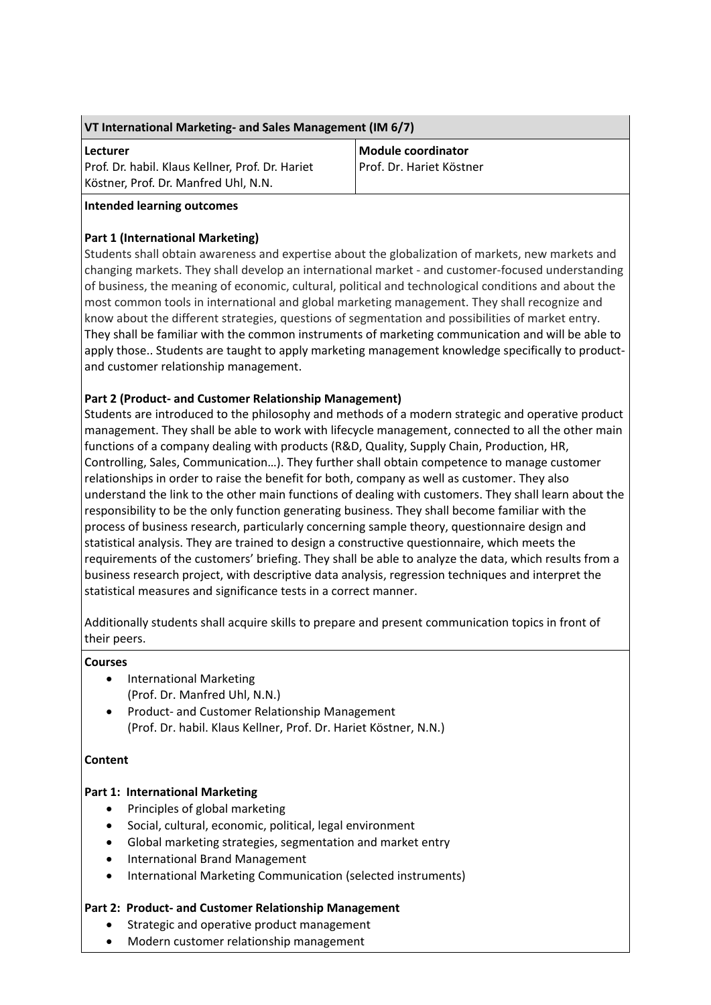| VT International Marketing- and Sales Management (IM 6/7) |  |
|-----------------------------------------------------------|--|
|-----------------------------------------------------------|--|

### **Lecturer**

Prof. Dr. habil. Klaus Kellner, Prof. Dr. Hariet Köstner, Prof. Dr. Manfred Uhl, N.N.

**Module coordinator** Prof. Dr. Hariet Köstner

## **Intended learning outcomes**

# **Part 1 (International Marketing)**

Students shall obtain awareness and expertise about the globalization of markets, new markets and changing markets. They shall develop an international market - and customer-focused understanding of business, the meaning of economic, cultural, political and technological conditions and about the most common tools in international and global marketing management. They shall recognize and know about the different strategies, questions of segmentation and possibilities of market entry. They shall be familiar with the common instruments of marketing communication and will be able to apply those.. Students are taught to apply marketing management knowledge specifically to productand customer relationship management.

# **Part 2 (Product- and Customer Relationship Management)**

Students are introduced to the philosophy and methods of a modern strategic and operative product management. They shall be able to work with lifecycle management, connected to all the other main functions of a company dealing with products (R&D, Quality, Supply Chain, Production, HR, Controlling, Sales, Communication…). They further shall obtain competence to manage customer relationships in order to raise the benefit for both, company as well as customer. They also understand the link to the other main functions of dealing with customers. They shall learn about the responsibility to be the only function generating business. They shall become familiar with the process of business research, particularly concerning sample theory, questionnaire design and statistical analysis. They are trained to design a constructive questionnaire, which meets the requirements of the customers' briefing. They shall be able to analyze the data, which results from a business research project, with descriptive data analysis, regression techniques and interpret the statistical measures and significance tests in a correct manner.

Additionally students shall acquire skills to prepare and present communication topics in front of their peers.

# **Courses**

- International Marketing (Prof. Dr. Manfred Uhl, N.N.)
- Product- and Customer Relationship Management (Prof. Dr. habil. Klaus Kellner, Prof. Dr. Hariet Köstner, N.N.)

# **Content**

# **Part 1: International Marketing**

- Principles of global marketing
- Social, cultural, economic, political, legal environment
- Global marketing strategies, segmentation and market entry
- International Brand Management
- International Marketing Communication (selected instruments)

## **Part 2: Product- and Customer Relationship Management**

- Strategic and operative product management
- Modern customer relationship management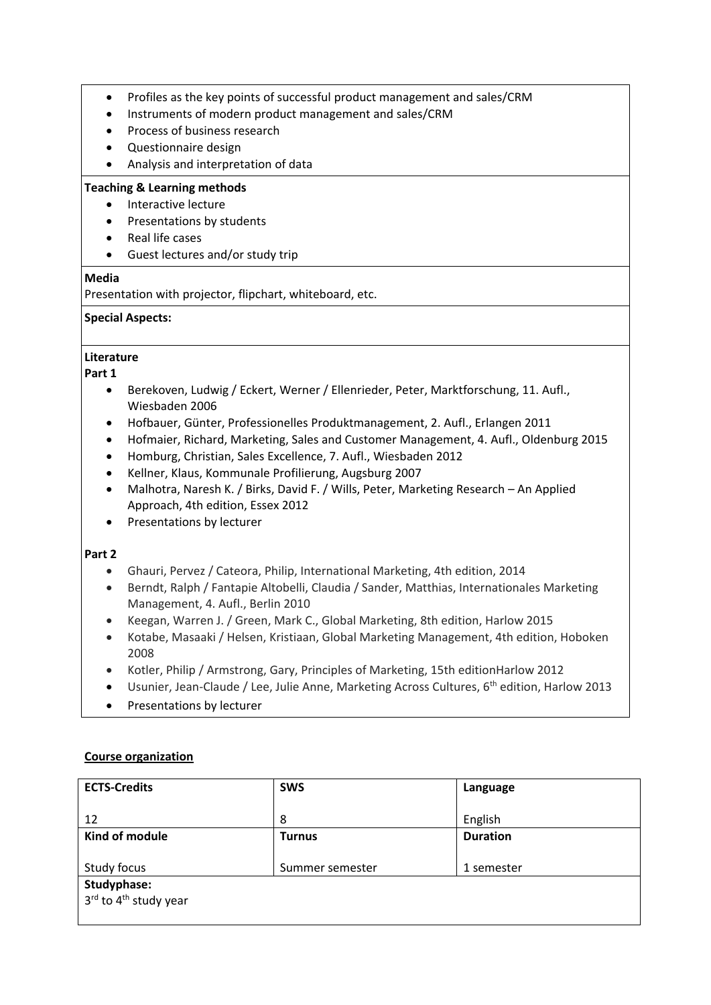- Profiles as the key points of successful product management and sales/CRM
- Instruments of modern product management and sales/CRM
- Process of business research
- Questionnaire design
- Analysis and interpretation of data

## **Teaching & Learning methods**

- Interactive lecture
- Presentations by students
- Real life cases
- Guest lectures and/or study trip

## **Media**

Presentation with projector, flipchart, whiteboard, etc.

## **Special Aspects:**

# **Literature**

**Part 1**

- Berekoven, Ludwig / Eckert, Werner / Ellenrieder, Peter, Marktforschung, 11. Aufl., Wiesbaden 2006
- Hofbauer, Günter, Professionelles Produktmanagement, 2. Aufl., Erlangen 2011
- Hofmaier, Richard, Marketing, Sales and Customer Management, 4. Aufl., Oldenburg 2015
- Homburg, Christian, Sales Excellence, 7. Aufl., Wiesbaden 2012
- Kellner, Klaus, Kommunale Profilierung, Augsburg 2007
- Malhotra, Naresh K. / Birks, David F. / Wills, Peter, Marketing Research An Applied Approach, 4th edition, Essex 2012
- Presentations by lecturer

## **Part 2**

- Ghauri, Pervez / Cateora, Philip, International Marketing, 4th edition, 2014
- Berndt, Ralph / Fantapie Altobelli, Claudia / Sander, Matthias, Internationales Marketing Management, 4. Aufl., Berlin 2010
- Keegan, Warren J. / Green, Mark C., Global Marketing, 8th edition, Harlow 2015
- Kotabe, Masaaki / Helsen, Kristiaan, Global Marketing Management, 4th edition, Hoboken 2008
- Kotler, Philip / Armstrong, Gary, Principles of Marketing, 15th editionHarlow 2012
- Usunier, Jean-Claude / Lee, Julie Anne, Marketing Across Cultures, 6<sup>th</sup> edition, Harlow 2013
- Presentations by lecturer

## **Course organization**

| <b>ECTS-Credits</b>               | <b>SWS</b>      | Language        |
|-----------------------------------|-----------------|-----------------|
|                                   |                 |                 |
| 12                                | 8               | English         |
| Kind of module                    | <b>Turnus</b>   | <b>Duration</b> |
|                                   |                 |                 |
| Study focus                       | Summer semester | 1 semester      |
| Studyphase:                       |                 |                 |
| 3rd to 4 <sup>th</sup> study year |                 |                 |
|                                   |                 |                 |